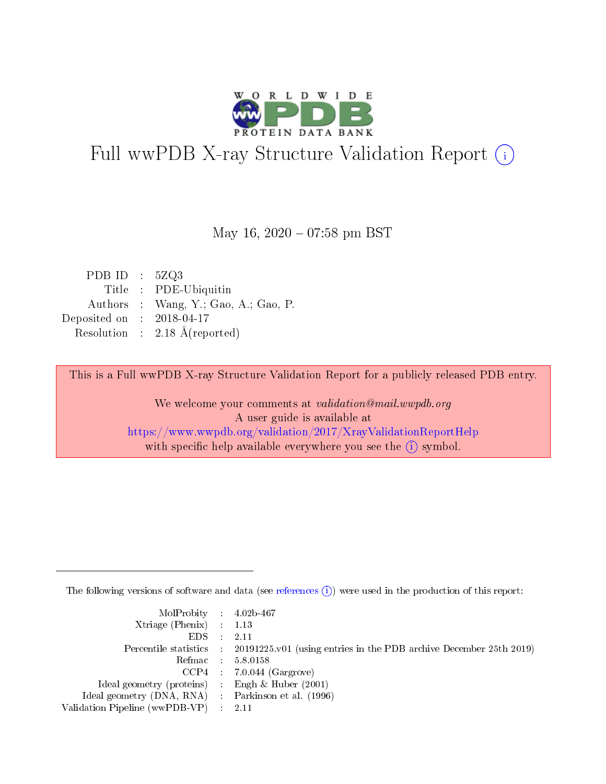

# Full wwPDB X-ray Structure Validation Report (i)

#### May 16,  $2020 - 07:58$  pm BST

| PDB ID : $5ZQ3$ |                                          |
|-----------------|------------------------------------------|
|                 | Title : PDE-Ubiquitin                    |
|                 | Authors : Wang, Y.; Gao, A.; Gao, P.     |
| Deposited on    | $: 2018-04-17$                           |
|                 | Resolution : $2.18 \text{ Å}$ (reported) |
|                 |                                          |

This is a Full wwPDB X-ray Structure Validation Report for a publicly released PDB entry.

We welcome your comments at validation@mail.wwpdb.org A user guide is available at <https://www.wwpdb.org/validation/2017/XrayValidationReportHelp> with specific help available everywhere you see the  $(i)$  symbol.

The following versions of software and data (see [references](https://www.wwpdb.org/validation/2017/XrayValidationReportHelp#references)  $(i)$ ) were used in the production of this report:

| MolProbity : 4.02b-467                              |                                                                                            |
|-----------------------------------------------------|--------------------------------------------------------------------------------------------|
| $Xtriangle (Phenix)$ : 1.13                         |                                                                                            |
| $EDS$ :                                             | 2.11                                                                                       |
|                                                     | Percentile statistics : 20191225.v01 (using entries in the PDB archive December 25th 2019) |
|                                                     | Refmac 58.0158                                                                             |
|                                                     | $CCP4$ 7.0.044 (Gargrove)                                                                  |
| Ideal geometry (proteins) : Engh $\&$ Huber (2001)  |                                                                                            |
| Ideal geometry (DNA, RNA) : Parkinson et al. (1996) |                                                                                            |
| Validation Pipeline (wwPDB-VP) : 2.11               |                                                                                            |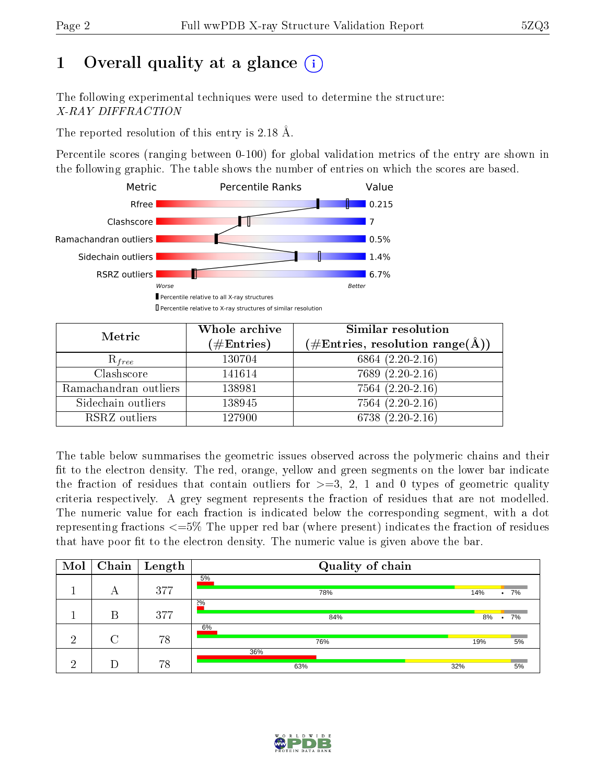# 1 [O](https://www.wwpdb.org/validation/2017/XrayValidationReportHelp#overall_quality)verall quality at a glance  $(i)$

The following experimental techniques were used to determine the structure: X-RAY DIFFRACTION

The reported resolution of this entry is 2.18 Å.

Percentile scores (ranging between 0-100) for global validation metrics of the entry are shown in the following graphic. The table shows the number of entries on which the scores are based.



| Metric                | Whole archive<br>$(\#\text{Entries})$ | Similar resolution<br>$(\#\text{Entries},\,\text{resolution}\,\,\text{range}(\textup{\AA}))$ |
|-----------------------|---------------------------------------|----------------------------------------------------------------------------------------------|
| $R_{free}$            | 130704                                | 6864 $(2.20-2.16)$                                                                           |
| Clashscore            | 141614                                | $7689(2.20-2.16)$                                                                            |
| Ramachandran outliers | 138981                                | $7564 (2.20 - 2.16)$                                                                         |
| Sidechain outliers    | 138945                                | 7564 (2.20-2.16)                                                                             |
| RSRZ outliers         | 127900                                | $6738(2.20-2.16)$                                                                            |

The table below summarises the geometric issues observed across the polymeric chains and their fit to the electron density. The red, orange, yellow and green segments on the lower bar indicate the fraction of residues that contain outliers for  $>=3, 2, 1$  and 0 types of geometric quality criteria respectively. A grey segment represents the fraction of residues that are not modelled. The numeric value for each fraction is indicated below the corresponding segment, with a dot representing fractions <=5% The upper red bar (where present) indicates the fraction of residues that have poor fit to the electron density. The numeric value is given above the bar.

| Mol | Chain | $\vert$ Length | Quality of chain |     |        |
|-----|-------|----------------|------------------|-----|--------|
|     | А     | 377            | 5%<br>78%        | 14% | $.7\%$ |
|     | B     | 377            | 2%<br>84%        | 8%  | 7%     |
| ച   |       | 78             | 6%<br>76%        | 19% | 5%     |
| ച   |       | 78             | 36%<br>63%       | 32% | 5%     |

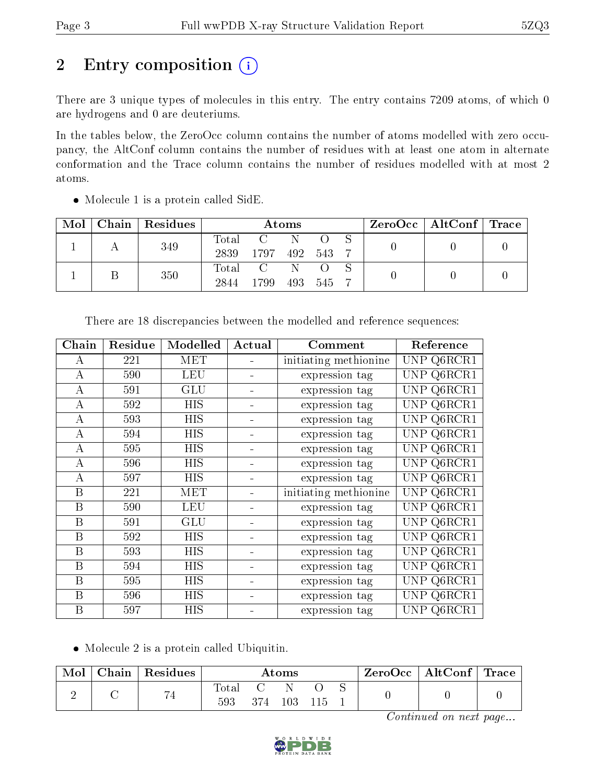# 2 Entry composition (i)

There are 3 unique types of molecules in this entry. The entry contains 7209 atoms, of which 0 are hydrogens and 0 are deuteriums.

In the tables below, the ZeroOcc column contains the number of atoms modelled with zero occupancy, the AltConf column contains the number of residues with at least one atom in alternate conformation and the Trace column contains the number of residues modelled with at most 2 atoms.

| Mol | Chain   Residues | Atoms |              |  |         |  | $ZeroOcc \mid AltConf \mid Trace$ |  |
|-----|------------------|-------|--------------|--|---------|--|-----------------------------------|--|
|     | 349              | Total |              |  |         |  |                                   |  |
|     |                  | 2839  | 1797 492 543 |  |         |  |                                   |  |
|     | 350              | Total |              |  |         |  |                                   |  |
|     |                  | 2844  | 1799         |  | 493 545 |  |                                   |  |

• Molecule 1 is a protein called SidE.

| Chain          | Residue | Modelled   | Actual | Comment               | Reference      |
|----------------|---------|------------|--------|-----------------------|----------------|
| А              | 221     | <b>MET</b> |        | initiating methionine | UNP Q6RCR1     |
| А              | 590     | <b>LEU</b> |        | expression tag        | UNP.<br>Q6RCR1 |
| А              | 591     | GLU        | ۰      | expression tag        | UNP Q6RCR1     |
| A              | 592     | <b>HIS</b> |        | expression tag        | UNP Q6RCR1     |
| А              | 593     | HIS        |        | expression tag        | UNP Q6RCR1     |
| А              | 594     | <b>HIS</b> |        | expression tag        | Q6RCR1<br>UNP. |
| $\overline{A}$ | 595     | HIS        |        | expression tag        | Q6RCR1<br>UNP. |
| А              | 596     | HIS        |        | expression tag        | Q6RCR1<br>UNP  |
| А              | 597     | HIS        |        | expression tag        | Q6RCR1<br>UNP  |
| B              | 221     | MET        |        | initiating methionine | Q6RCR1<br>UNP. |
| B              | 590     | <b>LEU</b> |        | expression tag        | Q6RCR1<br>UNP  |
| B              | 591     | GLU        |        | expression tag        | Q6RCR1<br>UNP  |
| B              | 592     | HIS        |        | expression tag        | Q6RCR1<br>UNP. |
| B              | 593     | <b>HIS</b> |        | expression tag        | Q6RCR1<br>UNP. |
| B              | 594     | HIS        |        | expression tag        | Q6RCR1<br>UNP  |
| B              | 595     | HIS        |        | expression tag        | Q6RCR1<br>UNP  |
| B              | 596     | ΗIS        |        | expression tag        | UNP<br>Q6RCR1  |
| B              | 597     | HIS        |        | expression tag        | UNP Q6RCR1     |

There are 18 discrepancies between the modelled and reference sequences:

• Molecule 2 is a protein called Ubiquitin.

| Mol | Chain | $\perp$ Residues     | $\rm{Atoms}$ |     |     | $ZeroOcc \   \ AltConf \  $ | $^\mathrm{+}$ Trace |  |  |
|-----|-------|----------------------|--------------|-----|-----|-----------------------------|---------------------|--|--|
|     |       | $H$ $\prime$<br>r st | Total<br>593 | 374 | 103 |                             |                     |  |  |

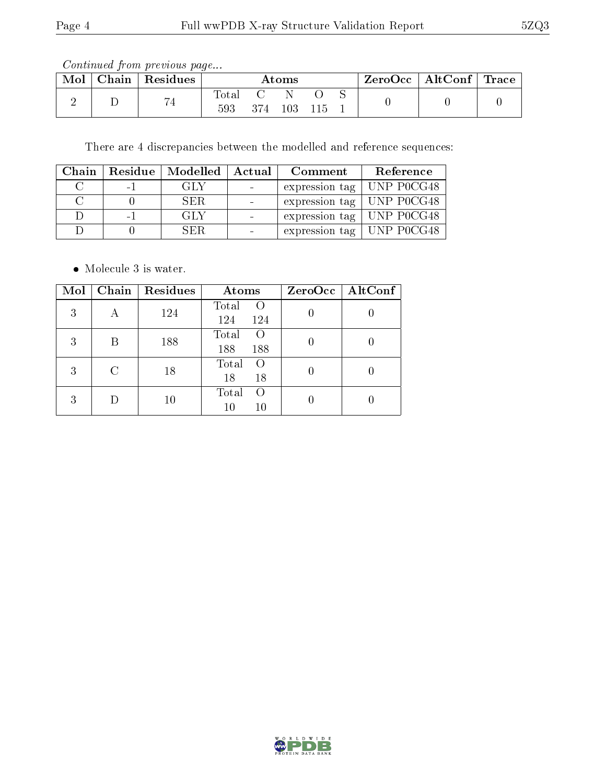Continued from previous page...

| Mol | Chain | Residues       | $\rm{Atoms}$ |       |     | $\text{ZeroOcc} \mid \text{AltConf} \mid \text{Trace}$ |  |  |  |
|-----|-------|----------------|--------------|-------|-----|--------------------------------------------------------|--|--|--|
|     |       | $\overline{ }$ | Total<br>593 | 374 - | 103 |                                                        |  |  |  |

There are 4 discrepancies between the modelled and reference sequences:

| Chain |      | Residue   Modelled   Actual |                | Comment                     | Reference |
|-------|------|-----------------------------|----------------|-----------------------------|-----------|
|       | $-1$ | GLY                         |                | expression tag   UNP P0CG48 |           |
|       |      | SER.                        |                | expression tag   UNP P0CG48 |           |
|       | $-1$ | GLY                         | $\sim$         | expression tag   UNP P0CG48 |           |
|       |      | SF R                        | $\blacksquare$ | expression tag   UNP P0CG48 |           |

• Molecule 3 is water.

| Mol |   | Chain   Residues | <b>Atoms</b>                            | ZeroOcc   AltConf |
|-----|---|------------------|-----------------------------------------|-------------------|
| 3   |   | 124              | Total<br>$\left($<br>124<br>124         |                   |
| 3   | В | 188              | Total<br>$\left( \right)$<br>188<br>188 |                   |
| 3   | C | 18               | Total<br>$\left( \right)$<br>18<br>18   |                   |
| 3   |   | 10               | Total<br>$\bigcirc$<br>10<br>10         |                   |

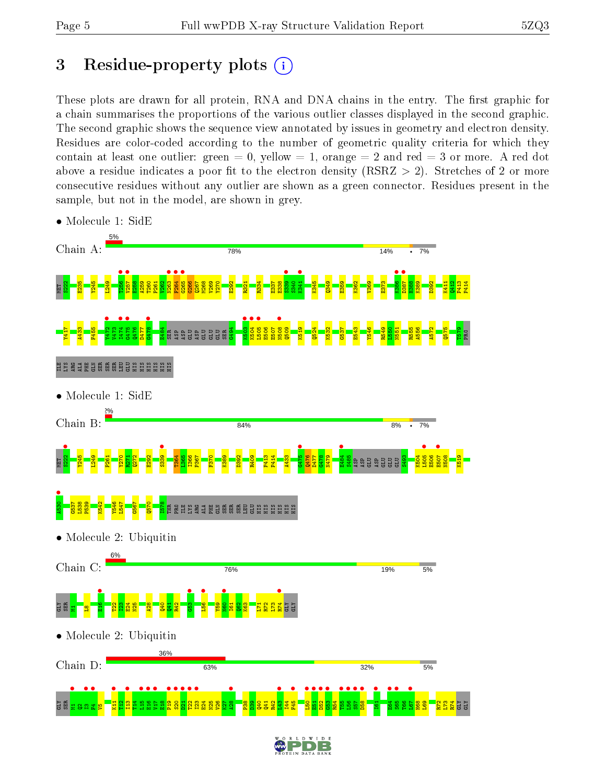# 3 Residue-property plots  $(i)$

These plots are drawn for all protein, RNA and DNA chains in the entry. The first graphic for a chain summarises the proportions of the various outlier classes displayed in the second graphic. The second graphic shows the sequence view annotated by issues in geometry and electron density. Residues are color-coded according to the number of geometric quality criteria for which they contain at least one outlier: green  $= 0$ , yellow  $= 1$ , orange  $= 2$  and red  $= 3$  or more. A red dot above a residue indicates a poor fit to the electron density (RSRZ  $> 2$ ). Stretches of 2 or more consecutive residues without any outlier are shown as a green connector. Residues present in the sample, but not in the model, are shown in grey.



• Molecule 1: SidE

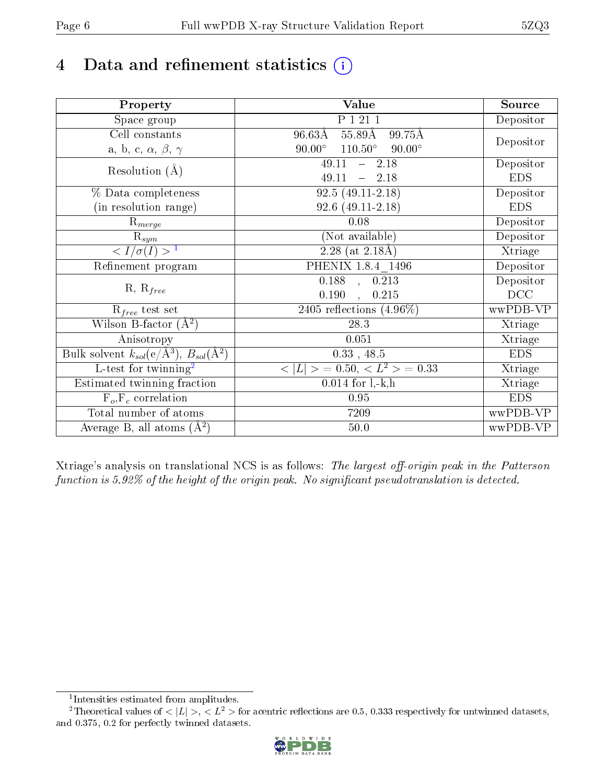# 4 Data and refinement statistics  $(i)$

| Property                                                             | Value                                              | Source     |
|----------------------------------------------------------------------|----------------------------------------------------|------------|
| Space group                                                          | P 1 21 1                                           | Depositor  |
| Cell constants                                                       | $96.63\rm\AA$<br>$55.89\text{\AA}$<br>99.75Å       |            |
| a, b, c, $\alpha$ , $\beta$ , $\gamma$                               | $90.00^\circ$<br>$110.50^{\circ}$<br>$90.00^\circ$ | Depositor  |
| Resolution $(A)$                                                     | 49.11<br>$-2.18$                                   | Depositor  |
|                                                                      | 49.11<br>$-2.18$                                   | <b>EDS</b> |
| % Data completeness                                                  | $92.5(49.11-2.18)$                                 | Depositor  |
| (in resolution range)                                                | $92.6(49.11-2.18)$                                 | <b>EDS</b> |
| $R_{merge}$                                                          | 0.08                                               | Depositor  |
| $\mathrm{R}_{sym}$                                                   | (Not available)                                    | Depositor  |
| $\langle I/\sigma(I) \rangle$ <sup>1</sup>                           | $2.28$ (at 2.18Å)                                  | Xtriage    |
| Refinement program                                                   | PHENIX 1.8.4 1496                                  | Depositor  |
|                                                                      | $\overline{0.188}$ ,<br>0.213                      | Depositor  |
| $R, R_{free}$                                                        | 0.190<br>0.215<br>$\ddot{\phantom{a}}$             | DCC        |
| $\mathcal{R}_{free}$ test set                                        | 2405 reflections $(4.96\%)$                        | wwPDB-VP   |
| Wilson B-factor $(A^2)$                                              | 28.3                                               | Xtriage    |
| Anisotropy                                                           | 0.051                                              | Xtriage    |
| Bulk solvent $k_{sol}(e/\mathring{A}^3)$ , $B_{sol}(\mathring{A}^2)$ | $0.33$ , 48.5                                      | <b>EDS</b> |
| L-test for twinning <sup>2</sup>                                     | $< L >$ = 0.50, $< L2$ > = 0.33                    | Xtriage    |
| Estimated twinning fraction                                          | $0.014$ for $1, -k, h$                             | Xtriage    |
| $F_o, F_c$ correlation                                               | 0.95                                               | <b>EDS</b> |
| Total number of atoms                                                | 7209                                               | wwPDB-VP   |
| Average B, all atoms $(A^2)$                                         | $50.0$                                             | wwPDB-VP   |

Xtriage's analysis on translational NCS is as follows: The largest off-origin peak in the Patterson function is  $5.92\%$  of the height of the origin peak. No significant pseudotranslation is detected.

<sup>&</sup>lt;sup>2</sup>Theoretical values of  $\langle |L| \rangle$ ,  $\langle L^2 \rangle$  for acentric reflections are 0.5, 0.333 respectively for untwinned datasets, and 0.375, 0.2 for perfectly twinned datasets.



<span id="page-5-1"></span><span id="page-5-0"></span><sup>1</sup> Intensities estimated from amplitudes.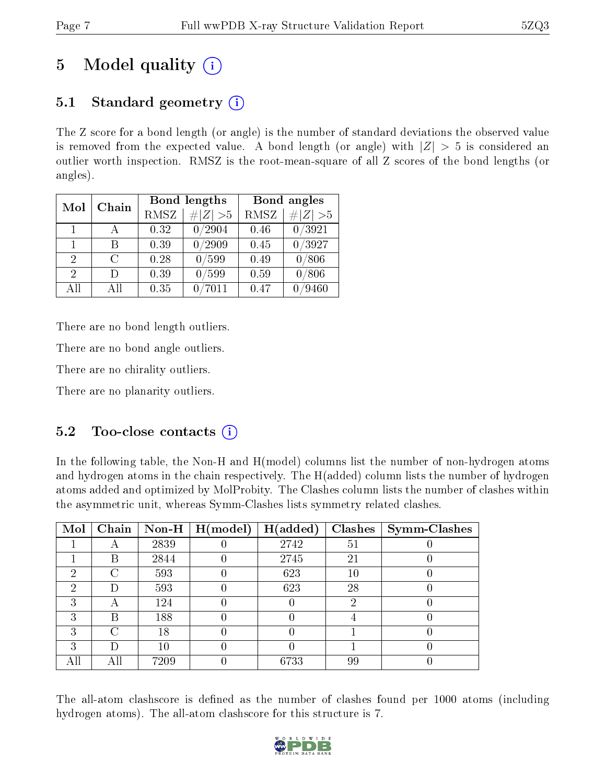# 5 Model quality  $(i)$

# 5.1 Standard geometry  $(i)$

The Z score for a bond length (or angle) is the number of standard deviations the observed value is removed from the expected value. A bond length (or angle) with  $|Z| > 5$  is considered an outlier worth inspection. RMSZ is the root-mean-square of all Z scores of the bond lengths (or angles).

| Mol                         | Chain |      | Bond lengths | Bond angles |                   |  |
|-----------------------------|-------|------|--------------|-------------|-------------------|--|
|                             |       | RMSZ | $\# Z  > 5$  | RMSZ        | $\ Z\  > 5$       |  |
| $\mathbf{1}$                |       | 0.32 | 0/2904       | 0.46        | 0/3921            |  |
| 1                           | R     | 0.39 | /2909        | 0.45        | 0/3927            |  |
| $\mathcal{D}_{\mathcal{L}}$ | C     | 0.28 | 0/599        | 0.49        | 0/806             |  |
| $\mathcal{D}_{\mathcal{L}}$ | Ð     | 0.39 | 0/599        | 0.59        | 0/806             |  |
| All                         | Αll   | 0.35 | 7011         | 0.47        | $^\prime\!\!9460$ |  |

There are no bond length outliers.

There are no bond angle outliers.

There are no chirality outliers.

There are no planarity outliers.

### 5.2 Too-close contacts  $\overline{()}$

In the following table, the Non-H and H(model) columns list the number of non-hydrogen atoms and hydrogen atoms in the chain respectively. The H(added) column lists the number of hydrogen atoms added and optimized by MolProbity. The Clashes column lists the number of clashes within the asymmetric unit, whereas Symm-Clashes lists symmetry related clashes.

| Mol | Chain |      | Non-H $\mid$ H(model) | H(added) |    | $Clashes$   Symm-Clashes |
|-----|-------|------|-----------------------|----------|----|--------------------------|
|     |       | 2839 |                       | 2742     | 51 |                          |
|     | В     | 2844 |                       | 2745     | 21 |                          |
| 2   | C     | 593  |                       | 623      | 10 |                          |
| 2   | Ð     | 593  |                       | 623      | 28 |                          |
| 3   | А     | 124  |                       |          | റ  |                          |
| 3   | В     | 188  |                       |          |    |                          |
| 3   | C     | 18   |                       |          |    |                          |
| 3   | Ð     | 10   |                       |          |    |                          |
|     | Αll   | 7209 |                       | 6733     | 99 |                          |

The all-atom clashscore is defined as the number of clashes found per 1000 atoms (including hydrogen atoms). The all-atom clashscore for this structure is 7.

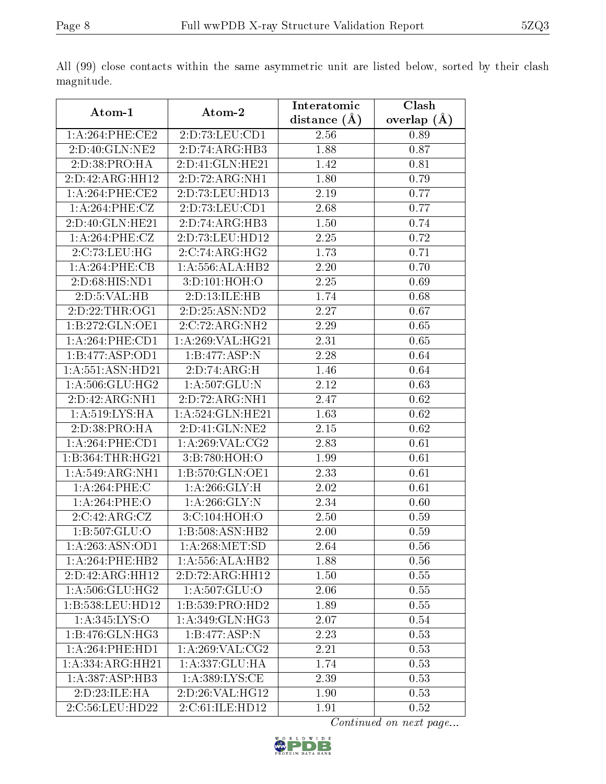|                     |                              | Interatomic       | Clash         |
|---------------------|------------------------------|-------------------|---------------|
| Atom-1              | Atom-2                       | distance $(A)$    | overlap $(A)$ |
| 1: A:264:PHE:CE2    | 2:D:73:LEU:CD1               | 2.56              | 0.89          |
| 2:D:40:GLN:NE2      | 2:D:74:ARG:HB3               | 1.88              | 0.87          |
| 2:D:38:PRO:HA       | 2:D:41:GLN:HE21              | 1.42              | 0.81          |
| 2:D:42:ARG:HH12     | 2:D:72:ARG:NH1               | 1.80              | 0.79          |
| 1: A:264:PHE:CE2    | 2:D:73:LEU:HD13              | 2.19              | 0.77          |
| 1:A:264:PHE:CZ      | 2:D:73:LEU:CD1               | 2.68              | 0.77          |
| 2:D:40:GLN:HE21     | 2:D:74:ARG:HB3               | $\overline{1.50}$ | 0.74          |
| 1:A:264:PHE:CZ      | 2:D:73:LEU:HD12              | 2.25              | 0.72          |
| 2:C:73:LEU:HG       | 2:C:74:ARG:HG2               | 1.73              | 0.71          |
| 1:A:264:PHE:CB      | 1:A:556:ALA:HB2              | 2.20              | 0.70          |
| 2:D:68:HIS:ND1      | 3:D:101:HOH:O                | 2.25              | 0.69          |
| 2: D: 5: VAL: HB    | 2:D:13:ILE:HB                | 1.74              | 0.68          |
| 2:D:22:THR:OG1      | 2:D:25:ASN:ND2               | 2.27              | 0.67          |
| 1:B:272:GLN:OE1     | 2:C:72:ARG:NH2               | 2.29              | 0.65          |
| 1:A:264:PHE:CD1     | 1: A:269: VAL:HG21           | 2.31              | 0.65          |
| 1:B:477:ASP:OD1     | 1:B:477:ASP:N                | 2.28              | 0.64          |
| 1:A:551:ASN:HD21    | 2:D:74:ARG:H                 | 1.46              | 0.64          |
| 1: A:506: GLU:HG2   | 1:A:507:GLU:N                | 2.12              | 0.63          |
| 2:D:42:ARG:NH1      | 2:D:72:ARG:NH1               | 2.47              | 0.62          |
| 1:A:519:LYS:HA      | 1:A:524:GLN:HE21             | 1.63              | 0.62          |
| 2:D:38:PRO:HA       | 2:D:41:GLN:NE2               | 2.15              | 0.62          |
| 1: A:264:PHE:CD1    | 1: A:269: VAL: CG2           | 2.83              | 0.61          |
| 1:B:364:THR:HG21    | 3:B:780:HOH:O                | 1.99              | 0.61          |
| 1:A:549:ARG:NH1     | 1:B:570:GLN:OE1              | 2.33              | 0.61          |
| 1:A:264:PHE:C       | 1: A:266: GLY:H              | 2.02              | 0.61          |
| 1:A:264:PHE:O       | $1: A:266: \overline{GLY:N}$ | 2.34              | 0.60          |
| 2:C:42:ARG:CZ       | 3:C:104:HOH:O                | 2.50              | 0.59          |
| 1:B:507:GLU:O       | 1:B:508:ASN:HB2              | 2.00              | 0.59          |
| 1:A:263:ASN:OD1     | 1: A:268: MET:SD             | 2.64              | 0.56          |
| 1: A:264:PHE:HB2    | 1: A: 556: ALA: HB2          | 1.88              | 0.56          |
| 2:D:42:ARG:HH12     | 2:D:72:ARG:HH12              | 1.50              | 0.55          |
| 1: A:506: GLU:HG2   | 1:A:507:GLU:O                | 2.06              | 0.55          |
| 1:B:538:LEU:HD12    | 1:B:539:PRO:HD2              | 1.89              | 0.55          |
| 1:A:345:LYS:O       | 1: A:349: GLN: HG3           | 2.07              | 0.54          |
| 1:B:476:GLN:HG3     | 1:B:477:ASP:N                | 2.23              | 0.53          |
| 1: A:264:PHE:HD1    | 1: A:269: VAL: CG2           | 2.21              | 0.53          |
| 1:A:334:ARG:HH21    | 1:A:337:GLU:HA               | 1.74              | 0.53          |
| 1: A: 387: ASP: HB3 | 1: A:389: LYS: CE            | 2.39              | 0.53          |
| 2:D:23:ILE:HA       | 2:D:26:VAL:HG12              | 1.90              | 0.53          |
| 2:C:56:LEU:HD22     | 2:C:61:ILE:HD12              | 1.91              | 0.52          |

All (99) close contacts within the same asymmetric unit are listed below, sorted by their clash magnitude.

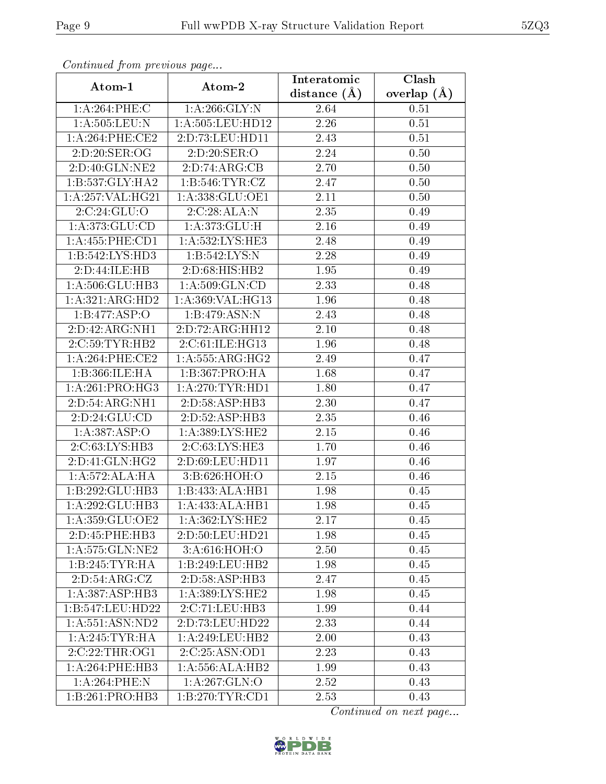| Comunaca jiom previous page   |                              | Interatomic    | Clash           |
|-------------------------------|------------------------------|----------------|-----------------|
| Atom-1                        | Atom-2                       | distance $(A)$ | overlap $(\AA)$ |
| 1:A:264:PHE:C                 | 1: A:266: GLY:N              | 2.64           | 0.51            |
| 1: A: 505: LEU: N             | 1: A: 505: LEU: HD12         | 2.26           | 0.51            |
| 1: A:264:PHE:CE2              | 2:D:73:LEU:HD11              | 2.43           | 0.51            |
| 2:D:20:SER:OG                 | 2:D:20:SER:O                 | 2.24           | 0.50            |
| 2:D:40:GLN:NE2                | 2:D:74:ARG:CB                | 2.70           | 0.50            |
| 1:B:537:GLY:HA2               | 1: B:546: TYR: CZ            | 2.47           | 0.50            |
| $1:A:257:\overline{VAL:HG21}$ | 1: A: 338: GLU: OE1          | 2.11           | 0.50            |
| 2:C:24:GLU:O                  | 2:C:28:ALA:N                 | 2.35           | 0.49            |
| 1:A:373:GLU:CD                | 1:A:373:GLU:H                | 2.16           | 0.49            |
| 1:A:455:PHE:CD1               | 1:A:532:LYS:HE3              | 2.48           | 0.49            |
| 1:B:542:LYS:HD3               | 1:B:542:LYS:N                | 2.28           | 0.49            |
| 2:D:44:ILE:HB                 | 2:D:68:HIS:HB2               | 1.95           | 0.49            |
| 1:A:506:GLU:HB3               | 1: A:509: GLN:CD             | 2.33           | 0.48            |
| 1:A:321:ARG:HD2               | 1:A:369:VAL:HG13             | 1.96           | 0.48            |
| 1:B:477:ASP:O                 | 1:B:479:ASN:N                | 2.43           | 0.48            |
| 2:D:42:ARG:NH1                | 2:D:72:ARG:HH12              | 2.10           | 0.48            |
| 2:C:59:TYR:HB2                | 2:C:61:ILE:HG13              | 1.96           | 0.48            |
| 1: A:264:PHE:CE2              | 1: A: 555: ARG: HG2          | 2.49           | 0.47            |
| 1:B:366:ILE:HA                | 1:B:367:PRO:HA               | 1.68           | 0.47            |
| 1: A:261:PRO:HG3              | 1: A:270:TYR:HD1             | 1.80           | 0.47            |
| 2:D:54:ARG:NH1                | 2:D:58:ASP:HB3               | 2.30           | 0.47            |
| 2:D:24:GLU:CD                 | 2:D:52:ASP:HB3               | 2.35           | 0.46            |
| 1:A:387:ASP:O                 | 1: A: 389: LYS: HE2          | 2.15           | 0.46            |
| 2:C:63:LYS:HB3                | 2:C:63:LYS:HE3               | 1.70           | 0.46            |
| 2:D:41:GLN:HG2                | 2:D:69:LEU:HD11              | 1.97           | 0.46            |
| 1:A:572:ALA:HA                | 3:B:626:HOH:O                | 2.15           | 0.46            |
| 1:B:292:GLU:HB3               | 1:B:433:ALA:HB1              | 1.98           | 0.45            |
| 1:A:292:GLU:HB3               | $1:A:433:AL\overline{A:H}B1$ | 1.98           | 0.45            |
| 1: A:359: GLU:OE2             | 1: A: 362: LYS: HE2          | 2.17           | 0.45            |
| 2:D:45:PHE:HB3                | 2:D:50:LEU:HD21              | 1.98           | 0.45            |
| 1:A:575:GLN:NE2               | 3:A:616:HOH:O                | 2.50           | 0.45            |
| 1:B:245:TYR:HA                | 1:B:249:LEU:HB2              | 1.98           | 0.45            |
| 2:D:54:ARG:CZ                 | 2:D:58:ASP:HB3               | 2.47           | 0.45            |
| 1: A: 387: ASP: HB3           | 1: A: 389: LYS: HE2          | 1.98           | 0.45            |
| 1:B:547:LEU:HD22              | 2:C:71:LEU:HB3               | 1.99           | 0.44            |
| 1: A: 551: ASN: ND2           | 2:D:73:LEU:HD22              | 2.33           | 0.44            |
| 1: A:245:TYR:HA               | 1: A:249:LEU:HB2             | 2.00           | 0.43            |
| 2:C:22:THR:OG1                | 2:C:25:ASN:OD1               | 2.23           | 0.43            |
| 1: A:264:PHE:HB3              | 1: A: 556: ALA: HB2          | 1.99           | 0.43            |
| 1:A:264:PHE:N                 | 1: A:267: GLN:O              | 2.52           | 0.43            |
| 1:B:261:PRO:HB3               | 1: B:270: TYR: CD1           | 2.53           | 0.43            |

Continued from previous page.

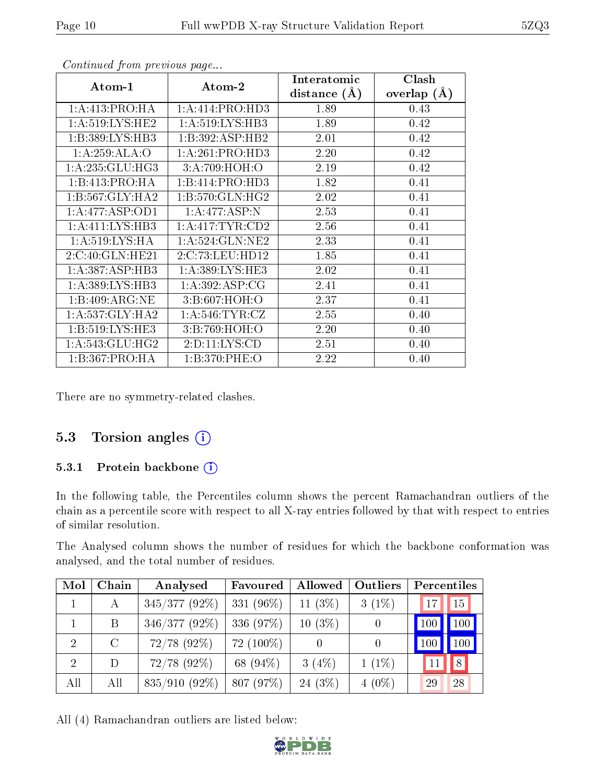| Atom-1              | Atom-2              | Interatomic<br>distance $(\AA)$ | Clash<br>overlap $(A)$ |
|---------------------|---------------------|---------------------------------|------------------------|
| 1:A:413:PRO:HA      | 1:A:414:PRO:HD3     | 1.89                            | 0.43                   |
|                     |                     |                                 |                        |
| 1: A:519: LYS: HE2  | 1: A:519: LYS: HB3  | 1.89                            | 0.42                   |
| 1:B:389:LYS:HB3     | 1:B:392:ASP:HB2     | 2.01                            | 0.42                   |
| 1:A:259:ALA:O       | 1:A:261:PRO:HD3     | 2.20                            | 0.42                   |
| 1: A:235: GLU:HG3   | 3:A:709:HOH:O       | 2.19                            | 0.42                   |
| 1:B:413:PRO:HA      | 1:B:414:PRO:HD3     | 1.82                            | 0.41                   |
| 1:B:567:GLY:HA2     | 1:B:570:GLN:HG2     | 2.02                            | 0.41                   |
| 1:A:477:ASP:OD1     | 1:A:477:ASP:N       | 2.53                            | 0.41                   |
| 1: A: 411: LYS: HB3 | 1: A: 417: TYR: CD2 | 2.56                            | 0.41                   |
| 1: A:519: LYS: HA   | 1: A:524: GLN: NE2  | 2.33                            | 0.41                   |
| 2:C:40:GLN:HE21     | 2:C:73:LEU:HD12     | 1.85                            | 0.41                   |
| 1: A: 387: ASP: HB3 | 1: A: 389: LYS: HE3 | 2.02                            | 0.41                   |
| 1: A: 389: LYS: HB3 | 1: A:392: ASP:CG    | 2.41                            | 0.41                   |
| 1:B:409:ARG:NE      | 3:B:607:HOH:O       | 2.37                            | 0.41                   |
| 1: A: 537: GLY: HA2 | 1: A:546: TYR: CZ   | 2.55                            | 0.40                   |
| 1: B:519: LYS: HE3  | 3:B:769:HOH:O       | 2.20                            | 0.40                   |
| 1: A:543: GLU:HG2   | 2: D: 11: LYS: CD   | 2.51                            | 0.40                   |
| 1:B:367:PRO:HA      | 1:B:370:PHE:O       | 2.22                            | 0.40                   |

Continued from previous page...

There are no symmetry-related clashes.

### 5.3 Torsion angles  $(i)$

#### 5.3.1 Protein backbone (i)

In the following table, the Percentiles column shows the percent Ramachandran outliers of the chain as a percentile score with respect to all X-ray entries followed by that with respect to entries of similar resolution.

The Analysed column shows the number of residues for which the backbone conformation was analysed, and the total number of residues.

| Mol            | Chain   | Analysed         | Favoured     | Allowed    | Outliers         | Percentiles |              |
|----------------|---------|------------------|--------------|------------|------------------|-------------|--------------|
|                | А       | $345/377(92\%)$  | 331 $(96\%)$ | 11 $(3\%)$ | $3(1\%)$         | 17          | 15           |
|                | B       | $346/377(92\%)$  | 336 (97%)    | $10(3\%)$  |                  | 100         | $\sqrt{100}$ |
| $\overline{2}$ | $\rm C$ | $72/78$ (92%)    | 72 (100%)    |            | $\left( \right)$ | 100         | 100          |
| 2              | D       | $72/78$ $(92\%)$ | 68 (94%)     | 3(4%)      | $1(1\%)$         |             | 8            |
| All            | All     | $835/910(92\%)$  | 807 (97%)    | $24(3\%)$  | $4(0\%)$         | 29          | 28           |

All (4) Ramachandran outliers are listed below:

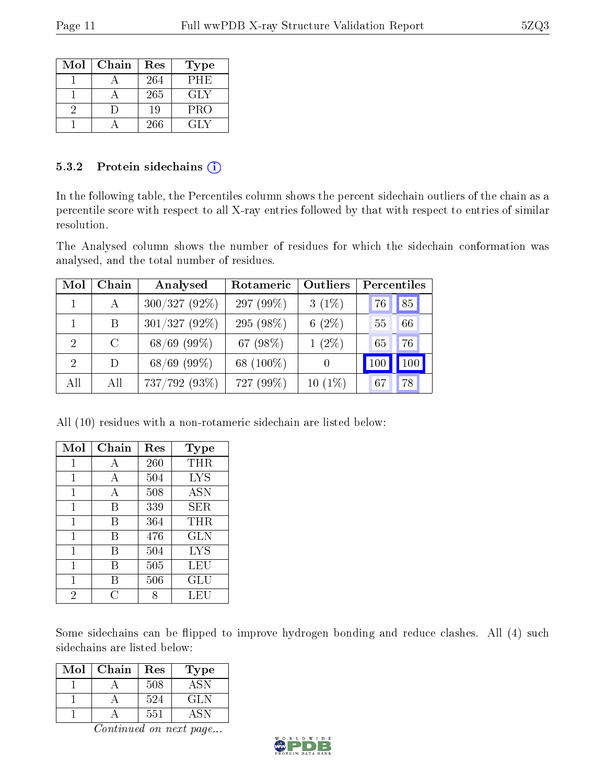| Mol | Chain | Res | Type       |
|-----|-------|-----|------------|
|     |       | 264 | PHE        |
|     |       | 265 | GLY        |
|     |       | 19  | <b>PRO</b> |
|     |       | 266 | GLY        |

#### 5.3.2 Protein sidechains (i)

In the following table, the Percentiles column shows the percent sidechain outliers of the chain as a percentile score with respect to all X-ray entries followed by that with respect to entries of similar resolution.

The Analysed column shows the number of residues for which the sidechain conformation was analysed, and the total number of residues.

| Mol                         | Chain   | Analysed        | Rotameric   | Outliers  | Percentiles |         |
|-----------------------------|---------|-----------------|-------------|-----------|-------------|---------|
|                             | A       | $300/327(92\%)$ | 297 (99%)   | $3(1\%)$  | 76          | 85      |
|                             | B.      | $301/327(92\%)$ | 295 (98\%)  | $6(2\%)$  | 55          | 66      |
| $\mathcal{D}$               | $\rm C$ | $68/69$ (99%)   | 67 $(98\%)$ | $1(2\%)$  | 65          | 76      |
| $\mathcal{D}_{\mathcal{L}}$ | D       | $68/69$ (99%)   | 68 (100\%)  |           | 100         | $100\,$ |
| All                         | All     | 737/792 (93%)   | 727 (99%)   | $10(1\%)$ | .67         | 78      |

All (10) residues with a non-rotameric sidechain are listed below:

| Mol | Chain | Res | Type       |
|-----|-------|-----|------------|
|     | А     | 260 | THR        |
| 1   | A     | 504 | <b>LYS</b> |
| 1   | А     | 508 | ASN        |
| 1   | В     | 339 | SER        |
| 1   | В     | 364 | THR        |
| 1   | В     | 476 | <b>GLN</b> |
| 1   | В     | 504 | <b>LYS</b> |
| 1   | В     | 505 | LEU        |
| 1   | В     | 506 | GLU        |
| 2   | C     |     | LEU        |

Some sidechains can be flipped to improve hydrogen bonding and reduce clashes. All (4) such sidechains are listed below:

| Mol | Chain | Res | Type |
|-----|-------|-----|------|
|     |       | 508 | ASN  |
|     |       | 524 | GLN  |
|     |       | 551 | 4.5N |

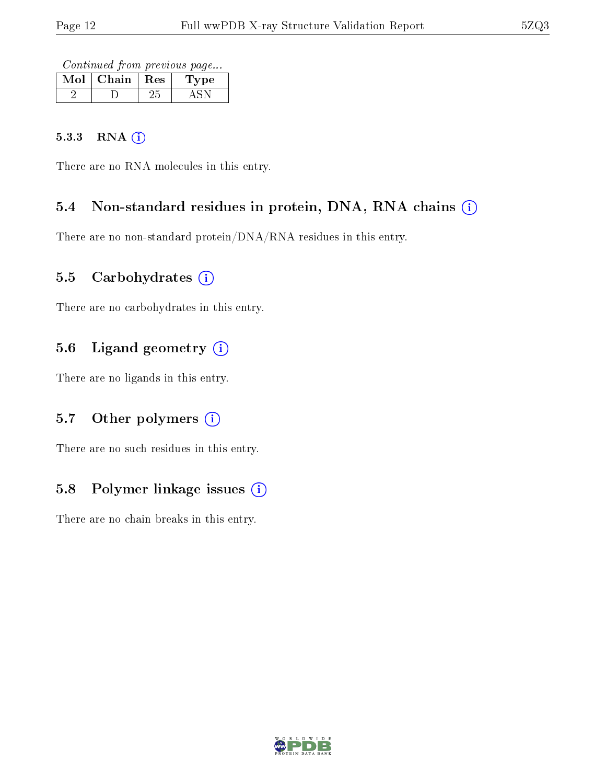Continued from previous page...

| Mol | Chain   Res | ype |
|-----|-------------|-----|
|     |             |     |

#### 5.3.3 RNA [O](https://www.wwpdb.org/validation/2017/XrayValidationReportHelp#rna)i

There are no RNA molecules in this entry.

### 5.4 Non-standard residues in protein, DNA, RNA chains (i)

There are no non-standard protein/DNA/RNA residues in this entry.

### 5.5 Carbohydrates  $(i)$

There are no carbohydrates in this entry.

# 5.6 Ligand geometry (i)

There are no ligands in this entry.

### 5.7 [O](https://www.wwpdb.org/validation/2017/XrayValidationReportHelp#nonstandard_residues_and_ligands)ther polymers (i)

There are no such residues in this entry.

### 5.8 Polymer linkage issues  $(i)$

There are no chain breaks in this entry.

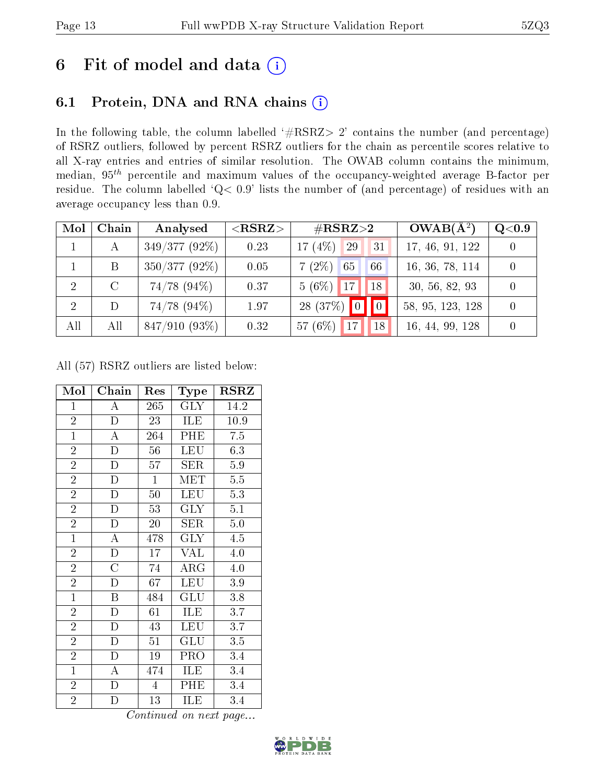# 6 Fit of model and data  $(i)$

# 6.1 Protein, DNA and RNA chains  $(i)$

In the following table, the column labelled  $#RSRZ> 2'$  contains the number (and percentage) of RSRZ outliers, followed by percent RSRZ outliers for the chain as percentile scores relative to all X-ray entries and entries of similar resolution. The OWAB column contains the minimum, median,  $95<sup>th</sup>$  percentile and maximum values of the occupancy-weighted average B-factor per residue. The column labelled ' $Q< 0.9$ ' lists the number of (and percentage) of residues with an average occupancy less than 0.9.

| Mol            | Chain   | Analysed         | ${ <\hspace{-1.5pt}{\mathrm{RSRZ}} \hspace{-1.5pt}>}$ | $\#\text{RSRZ}{>}2$                           | $OWAB(A^2)$      | $\rm Q\textcolor{black}{<}0.9$ |
|----------------|---------|------------------|-------------------------------------------------------|-----------------------------------------------|------------------|--------------------------------|
|                | А       | $349/377(92\%)$  | 0.23                                                  | 17 $(4%)$<br>29<br>31                         | 17, 46, 91, 122  |                                |
|                | B       | $350/377(92\%)$  | 0.05                                                  | $7(2\%)$<br>65<br>66                          | 16, 36, 78, 114  |                                |
| 2              | $\rm C$ | $74/78$ $(94\%)$ | 0.37                                                  | $5(6\%)$<br>18<br>17                          | 30, 56, 82, 93   |                                |
| $\overline{2}$ | D       | $74/78$ $(94\%)$ | 1.97                                                  | 28 (37\%) $\boxed{0}$<br>$\vert\vert 0 \vert$ | 58, 95, 123, 128 |                                |
| All            | All     | $847/910(93\%)$  | 0.32                                                  | 57 (6%)<br>17<br>18                           | 16, 44, 99, 128  |                                |

All (57) RSRZ outliers are listed below:

| Mol            | Chain                 | $\operatorname{Res}% \left( \mathcal{N}\right) \equiv\operatorname{Res}(\mathcal{N}_{0})\cap\mathcal{N}_{1}$ | Type                    | $_{\rm RSRZ}$ |
|----------------|-----------------------|--------------------------------------------------------------------------------------------------------------|-------------------------|---------------|
| $\mathbf{1}$   | А                     | 265                                                                                                          | $\rm GLY$               | 14.2          |
| $\overline{2}$ | $\overline{\rm D}$    | 23                                                                                                           | ILE                     | 10.9          |
| $\mathbf{1}$   | A                     | 264                                                                                                          | PHE                     | 7.5           |
| $\overline{2}$ | $\mathbf D$           | 56                                                                                                           | <b>LEU</b>              | 6.3           |
| $\overline{2}$ | $\overline{\text{D}}$ | 57                                                                                                           | <b>SER</b>              | $5.9\,$       |
| $\overline{2}$ | $\mathbf D$           | $\mathbf{1}$                                                                                                 | $\overline{\text{MET}}$ | $5.5\,$       |
| $\overline{2}$ | $\overline{D}$        | 50                                                                                                           | <b>LEU</b>              | 5.3           |
| $\overline{2}$ | D                     | 53                                                                                                           | <b>GLY</b>              | 5.1           |
| $\overline{2}$ | $\mathbf D$           | 20                                                                                                           | <b>SER</b>              | 5.0           |
| $\overline{1}$ | $\boldsymbol{A}$      | 478                                                                                                          | <b>GLY</b>              | 4.5           |
| $\overline{2}$ | $\overline{D}$        | 17                                                                                                           | <b>VAL</b>              | 4.0           |
| $\overline{2}$ | $\overline{\rm C}$    | 74                                                                                                           | $\rm{ARG}$              | 4.0           |
| $\overline{2}$ | $\overline{D}$        | 67                                                                                                           | <b>LEU</b>              | $3.9\,$       |
| $\mathbf{1}$   | $\, {\bf B}$          | 484                                                                                                          | GLU                     | 3.8           |
| $\overline{2}$ | D                     | 61                                                                                                           | ILE                     | 3.7           |
| $\overline{2}$ | $\overline{\rm D}$    | 43                                                                                                           | <b>LEU</b>              | 3.7           |
| $\overline{2}$ | $\mathbf D$           | 51                                                                                                           | GLU                     | $3.5\,$       |
| $\overline{2}$ | D                     | 19                                                                                                           | PRO                     | 3.4           |
| $\mathbf{1}$   | A                     | 474                                                                                                          | ILE                     | 3.4           |
| $\overline{2}$ | $\mathbf{D}$          | $\overline{4}$                                                                                               | PHE                     | 3.4           |
| $\overline{2}$ | D                     | 13                                                                                                           | ILE                     | 3.4           |

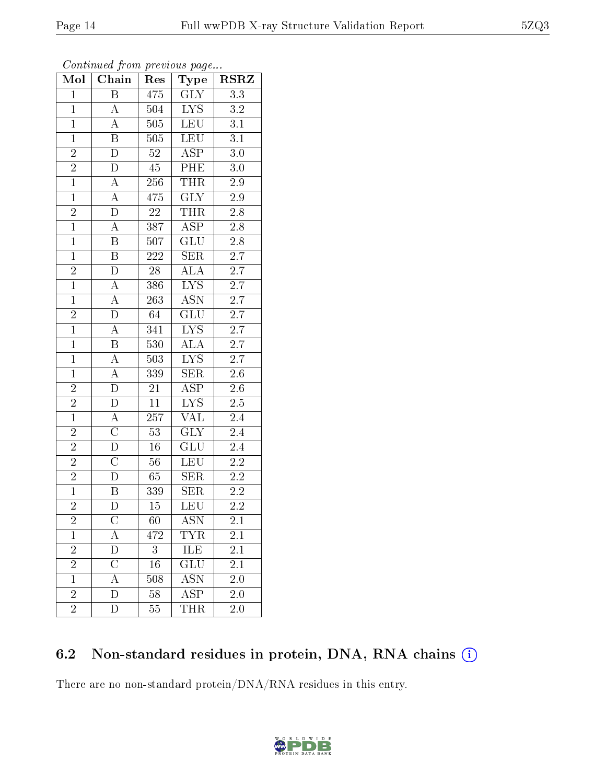| Mol            | Chain                   | Res              | Type                      | $_{\rm RSRZ}$    |
|----------------|-------------------------|------------------|---------------------------|------------------|
| $\mathbf{1}$   | $\overline{B}$          | 475              | $\overline{\text{GLY}}$   | $\overline{3.3}$ |
| $\mathbf{1}$   | $\overline{A}$          | 504              | <b>LYS</b>                | $3.2\,$          |
| $\overline{1}$ | $\overline{A}$          | 505              | <b>LEU</b>                | $\overline{3.1}$ |
| $\overline{1}$ | $\, {\bf B}$            | 505              | <b>LEU</b>                | $\overline{3.1}$ |
| $\overline{2}$ | $\overline{\text{D}}$   | $\overline{52}$  | <b>ASP</b>                | $\overline{3.0}$ |
| $\overline{2}$ | $\overline{D}$          | 45               | PHE                       | 3.0              |
| $\overline{1}$ | $\overline{A}$          | 256              | <b>THR</b>                | $2.9\,$          |
| $\overline{1}$ | $\overline{\rm A}$      | 475              | <b>GLY</b>                | $2.9\,$          |
| $\overline{2}$ | $\overline{\rm D}$      | 22               | <b>THR</b>                | 2.8              |
| $\overline{1}$ | $\overline{A}$          | 387              | $\overline{\text{ASP}}$   | $2.8\,$          |
| $\mathbf{1}$   | $\overline{\mathbf{B}}$ | 507              | GLU                       | $2.8\,$          |
| $\overline{1}$ | $\overline{\mathrm{B}}$ | 222              | $\overline{\text{SER}}$   | $\overline{2.7}$ |
| $\overline{2}$ | $\overline{D}$          | 28               | $\overline{\rm ALA}$      | $\overline{2.7}$ |
| $\overline{1}$ | $\overline{A}$          | 386              | $\overline{\text{LYS}}$   | $\overline{2.7}$ |
| $\overline{1}$ | $\overline{A}$          | 263              | $\overline{\text{ASN}}$   | $\overline{2.7}$ |
| $\frac{2}{1}$  | $\overline{D}$          | 64               | GLU                       | $2.7\,$          |
|                | $\overline{A}$          | 341              | $\overline{\text{LYS}}$   | $\overline{2.7}$ |
| $\mathbf{1}$   | $\overline{\mathbf{B}}$ | 530              | ALA                       | $2.7\,$          |
| $\overline{1}$ | $\overline{A}$          | $503\,$          | $\overline{\text{LYS}}$   | 2.7              |
| $\overline{1}$ | $\overline{A}$          | 339              | $\overline{\text{SER}}$   | $\overline{2.6}$ |
| $\overline{2}$ | $\overline{\rm D}$      | $21\overline{)}$ | $\overline{\text{ASP}}$   | $2.\overline{6}$ |
| $\overline{2}$ | $\overline{D}$          | $\overline{11}$  | $\overline{\text{LYS}}$   | $\overline{2.5}$ |
| $\overline{1}$ | $\overline{\rm A}$      | 257              | $\overline{\text{VAL}}$   | 2.4              |
| $\overline{2}$ | $\overline{\rm C}$      | $\overline{53}$  | $\overline{\text{GLY}}$   | 2.4              |
| $\overline{2}$ | $\overline{\rm D}$      | $16\,$           | GLU                       | $2.4\,$          |
| $\overline{2}$ | $\overline{\text{C}}$   | 56               | LEU                       | $2.\overline{2}$ |
| $\frac{2}{1}$  | $\overline{\rm D}$      | 65               | SER                       | $2.2\,$          |
|                | $\boldsymbol{B}$        | 339              | SER                       | 2.2              |
| $\overline{2}$ | $\overline{\rm D}$      | 15               | $\overline{\text{LEU}}$   | $\overline{2.2}$ |
| $\overline{2}$ | С                       | 60               | ASN                       | 2.1              |
| $\mathbf 1$    | А                       | 472              | <b>TYR</b>                | 2.1              |
| $\overline{2}$ | D                       | 3                | ILE                       | 2.1              |
| $\overline{2}$ | $\overline{C}$          | 16               | <b>GLU</b>                | 2.1              |
| $\mathbf{1}$   | $\overline{\rm A}$      | 508              | $\overline{\mathrm{ASN}}$ | 2.0              |
| $\overline{c}$ | D                       | 58               | ASP                       | 2.0              |
| $\overline{2}$ | D                       | 55               | THR                       | 2.0              |

Continued from previous page...

# 6.2 Non-standard residues in protein, DNA, RNA chains (i)

There are no non-standard protein/DNA/RNA residues in this entry.